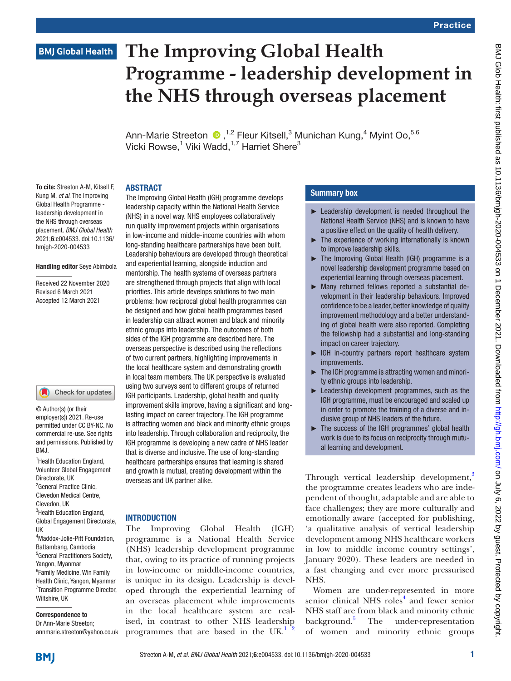# **The Improving Global Health Programme - leadership development in the NHS through overseas placement**

Ann-MarieStreeton <sup>1,2</sup> Fleur Kitsell,<sup>3</sup> Munichan Kung,<sup>4</sup> Myint Oo,<sup>5,6</sup> Vicki Rowse, $^1$  Viki Wadd, $^{1,7}$  Harriet Shere $^3$ 

### ABSTRACT

To cite: Streeton A-M, Kitsell F, Kung M, *et al*. The Improving Global Health Programme leadership development in the NHS through overseas placement. *BMJ Global Health* 2021;6:e004533. doi:10.1136/ bmjgh-2020-004533

### Handling editor Seye Abimbola

Received 22 November 2020 Revised 6 March 2021 Accepted 12 March 2021

### Check for updates

© Author(s) (or their employer(s)) 2021. Re-use permitted under CC BY-NC. No commercial re-use. See rights and permissions. Published by BMJ.

<sup>1</sup> Health Education England, Volunteer Global Engagement Directorate, UK <sup>2</sup> General Practice Clinic, Clevedon Medical Centre, Clevedon, UK <sup>3</sup>Health Education England, Global Engagement Directorate, UK 4 Maddox-Jolie-Pitt Foundation, Battambang, Cambodia 5 General Practitioners Society, Yangon, Myanmar 6 Family Medicine, Win Family Health Clinic, Yangon, Myanmar 7 Transition Programme Director, Wiltshire, UK

# Correspondence to

Dr Ann-Marie Streeton;

The Improving Global Health (IGH) programme develops leadership capacity within the National Health Service (NHS) in a novel way. NHS employees collaboratively run quality improvement projects within organisations in low-income and middle-income countries with whom long-standing healthcare partnerships have been built. Leadership behaviours are developed through theoretical and experiential learning, alongside induction and mentorship. The health systems of overseas partners are strengthened through projects that align with local priorities. This article develops solutions to two main problems: how reciprocal global health programmes can be designed and how global health programmes based in leadership can attract women and black and minority ethnic groups into leadership. The outcomes of both sides of the IGH programme are described here. The overseas perspective is described using the reflections of two current partners, highlighting improvements in the local healthcare system and demonstrating growth in local team members. The UK perspective is evaluated using two surveys sent to different groups of returned IGH participants. Leadership, global health and quality improvement skills improve, having a significant and longlasting impact on career trajectory. The IGH programme is attracting women and black and minority ethnic groups into leadership. Through collaboration and reciprocity, the IGH programme is developing a new cadre of NHS leader that is diverse and inclusive. The use of long-standing healthcare partnerships ensures that learning is shared and growth is mutual, creating development within the overseas and UK partner alike.

## **INTRODUCTION**

annmarie.streeton@yahoo.co.uk programmes that are based in the  $\text{UK.}^{1}$  [2](#page-6-1) The Improving Global Health (IGH) programme is a National Health Service (NHS) leadership development programme that, owing to its practice of running projects in low-income or middle-income countries, is unique in its design. Leadership is developed through the experiential learning of an overseas placement while improvements in the local healthcare system are realised, in contrast to other NHS leadership

# Summary box

- ► Leadership development is needed throughout the National Health Service (NHS) and is known to have a positive effect on the quality of health delivery.
- $\blacktriangleright$  The experience of working internationally is known to improve leadership skills.
- ► The Improving Global Health (IGH) programme is a novel leadership development programme based on experiential learning through overseas placement.
- ► Many returned fellows reported a substantial development in their leadership behaviours. Improved confidence to be a leader, better knowledge of quality improvement methodology and a better understanding of global health were also reported. Completing the fellowship had a substantial and long-standing impact on career trajectory.
- ► IGH in-country partners report healthcare system improvements.
- ► The IGH programme is attracting women and minority ethnic groups into leadership.
- ► Leadership development programmes, such as the IGH programme, must be encouraged and scaled up in order to promote the training of a diverse and inclusive group of NHS leaders of the future.
- ► The success of the IGH programmes' global health work is due to its focus on reciprocity through mutual learning and development.

Through vertical leadership development,<sup>[3](#page-6-2)</sup> the programme creates leaders who are independent of thought, adaptable and are able to face challenges; they are more culturally and emotionally aware (accepted for publishing, 'a qualitative analysis of vertical leadership development among NHS healthcare workers in low to middle income country settings', January 2020). These leaders are needed in a fast changing and ever more pressurised NHS.

Women are under-represented in more senior clinical NHS roles<sup>[4](#page-6-3)</sup> and fewer senior NHS staff are from black and minority ethnic background.<sup>5</sup> The under-representation of women and minority ethnic groups

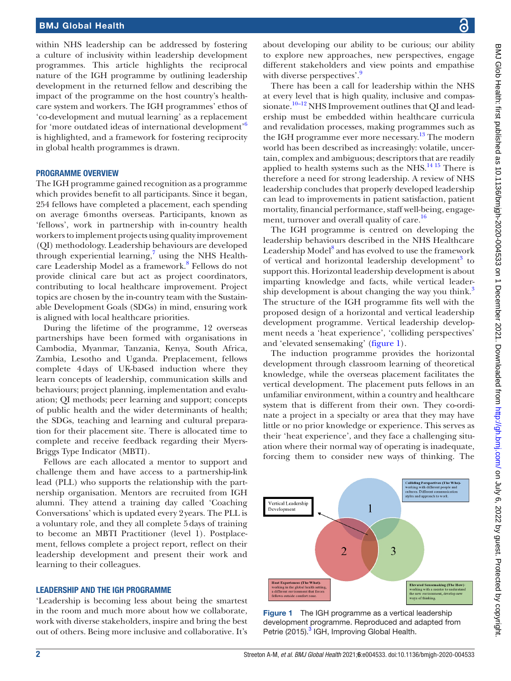within NHS leadership can be addressed by fostering a culture of inclusivity within leadership development programmes. This article highlights the reciprocal nature of the IGH programme by outlining leadership development in the returned fellow and describing the impact of the programme on the host country's healthcare system and workers. The IGH programmes' ethos of 'co-development and mutual learning' as a replacement for 'more outdated ideas of international development'<sup>[6](#page-6-5)</sup> is highlighted, and a framework for fostering reciprocity in global health programmes is drawn.

### PROGRAMME OVERVIEW

The IGH programme gained recognition as a programme which provides benefit to all participants. Since it began, 254 fellows have completed a placement, each spending on average 6months overseas. Participants, known as 'fellows', work in partnership with in-country health workers to implement projects using quality improvement (QI) methodology. Leadership behaviours are developed through experiential learning, $\frac{7}{7}$  $\frac{7}{7}$  $\frac{7}{7}$  using the NHS Health-care Leadership Model as a framework.<sup>[8](#page-7-1)</sup> Fellows do not provide clinical care but act as project coordinators, contributing to local healthcare improvement. Project topics are chosen by the in-country team with the Sustainable Development Goals (SDGs) in mind, ensuring work is aligned with local healthcare priorities.

During the lifetime of the programme, 12 overseas partnerships have been formed with organisations in Cambodia, Myanmar, Tanzania, Kenya, South Africa, Zambia, Lesotho and Uganda. Preplacement, fellows complete 4days of UK-based induction where they learn concepts of leadership, communication skills and behaviours; project planning, implementation and evaluation; QI methods; peer learning and support; concepts of public health and the wider determinants of health; the SDGs, teaching and learning and cultural preparation for their placement site. There is allocated time to complete and receive feedback regarding their Myers-Briggs Type Indicator (MBTI).

Fellows are each allocated a mentor to support and challenge them and have access to a partnership-link lead (PLL) who supports the relationship with the partnership organisation. Mentors are recruited from IGH alumni. They attend a training day called 'Coaching Conversations' which is updated every 2years. The PLL is a voluntary role, and they all complete 5days of training to become an MBTI Practitioner (level 1). Postplacement, fellows complete a project report, reflect on their leadership development and present their work and learning to their colleagues.

### LEADERSHIP AND THE IGH PROGRAMME

'Leadership is becoming less about being the smartest in the room and much more about how we collaborate, work with diverse stakeholders, inspire and bring the best out of others. Being more inclusive and collaborative. It's

about developing our ability to be curious; our ability to explore new approaches, new perspectives, engage different stakeholders and view points and empathise with diverse perspectives'.<sup>9</sup>

There has been a call for leadership within the NHS at every level that is high quality, inclusive and compassionate.<sup>10–12</sup> NHS Improvement outlines that QI and leadership must be embedded within healthcare curricula and revalidation processes, making programmes such as the IGH programme ever more necessary.<sup>13</sup> The modern world has been described as increasingly: volatile, uncertain, complex and ambiguous; descriptors that are readily applied to health systems such as the NHS. $^{14}$  15 There is therefore a need for strong leadership. A review of NHS leadership concludes that properly developed leadership can lead to improvements in patient satisfaction, patient mortality, financial performance, staff well-being, engagement, turnover and overall quality of care.<sup>16</sup>

The IGH programme is centred on developing the leadership behaviours described in the NHS Healthcare Leadership Model<sup>8</sup> and has evolved to use the framework of vertical and horizontal leadership development<sup>3</sup> to support this. Horizontal leadership development is about imparting knowledge and facts, while vertical leader-ship development is about changing the way you think.<sup>[3](#page-6-2)</sup> The structure of the IGH programme fits well with the proposed design of a horizontal and vertical leadership development programme. Vertical leadership development needs a 'heat experience', 'colliding perspectives' and 'elevated sensemaking' [\(figure](#page-1-0) 1).

The induction programme provides the horizontal development through classroom learning of theoretical knowledge, while the overseas placement facilitates the vertical development. The placement puts fellows in an unfamiliar environment, within a country and healthcare system that is different from their own. They co-ordinate a project in a specialty or area that they may have little or no prior knowledge or experience. This serves as their 'heat experience', and they face a challenging situation where their normal way of operating is inadequate, forcing them to consider new ways of thinking. The



<span id="page-1-0"></span>Figure 1 The IGH programme as a vertical leadership development programme. Reproduced and adapted from Petrie (2015).<sup>[3](#page-6-2)</sup> IGH, Improving Global Health.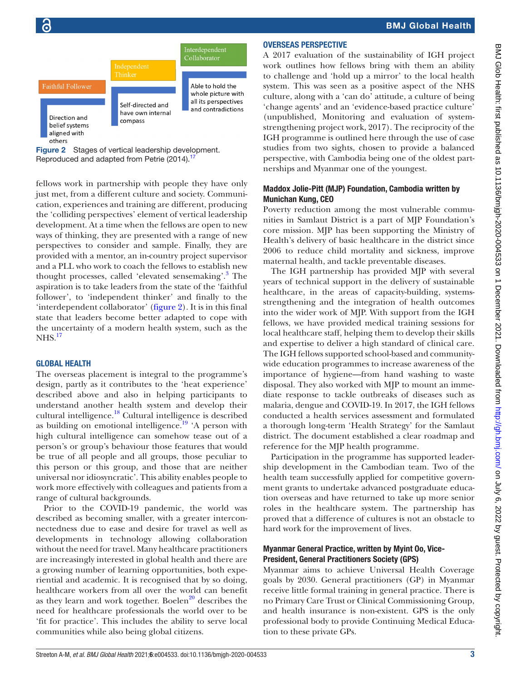

<span id="page-2-0"></span>

fellows work in partnership with people they have only just met, from a different culture and society. Communication, experiences and training are different, producing the 'colliding perspectives' element of vertical leadership development. At a time when the fellows are open to new ways of thinking, they are presented with a range of new perspectives to consider and sample. Finally, they are provided with a mentor, an in-country project supervisor and a PLL who work to coach the fellows to establish new thought processes, called 'elevated sensemaking'.<sup>3</sup> The aspiration is to take leaders from the state of the 'faithful follower', to 'independent thinker' and finally to the 'interdependent collaborator' [\(figure](#page-2-0) 2). It is in this final state that leaders become better adapted to cope with the uncertainty of a modern health system, such as the  $N<sup>17</sup>$  $N<sup>17</sup>$  $N<sup>17</sup>$ 

## GLOBAL HEALTH

The overseas placement is integral to the programme's design, partly as it contributes to the 'heat experience' described above and also in helping participants to understand another health system and develop their cultural intelligence.<sup>18</sup> Cultural intelligence is described as building on emotional intelligence.<sup>19</sup> 'A person with high cultural intelligence can somehow tease out of a person's or group's behaviour those features that would be true of all people and all groups, those peculiar to this person or this group, and those that are neither universal nor idiosyncratic'. This ability enables people to work more effectively with colleagues and patients from a range of cultural backgrounds.

Prior to the COVID-19 pandemic, the world was described as becoming smaller, with a greater interconnectedness due to ease and desire for travel as well as developments in technology allowing collaboration without the need for travel. Many healthcare practitioners are increasingly interested in global health and there are a growing number of learning opportunities, both experiential and academic. It is recognised that by so doing, healthcare workers from all over the world can benefit as they learn and work together. Boelen $^{20}$  $^{20}$  $^{20}$  describes the need for healthcare professionals the world over to be 'fit for practice'. This includes the ability to serve local communities while also being global citizens.

# OVERSEAS PERSPECTIVE

A 2017 evaluation of the sustainability of IGH project work outlines how fellows bring with them an ability to challenge and 'hold up a mirror' to the local health system. This was seen as a positive aspect of the NHS culture, along with a 'can do' attitude, a culture of being 'change agents' and an 'evidence-based practice culture' (unpublished, Monitoring and evaluation of systemstrengthening project work, 2017). The reciprocity of the IGH programme is outlined here through the use of case studies from two sights, chosen to provide a balanced perspective, with Cambodia being one of the oldest partnerships and Myanmar one of the youngest.

# Maddox Jolie-Pitt (MJP) Foundation, Cambodia written by Munichan Kung, CEO

Poverty reduction among the most vulnerable communities in Samlaut District is a part of MJP Foundation's core mission. MJP has been supporting the Ministry of Health's delivery of basic healthcare in the district since 2006 to reduce child mortality and sickness, improve maternal health, and tackle preventable diseases.

The IGH partnership has provided MJP with several years of technical support in the delivery of sustainable healthcare, in the areas of capacity-building, systemsstrengthening and the integration of health outcomes into the wider work of MJP. With support from the IGH fellows, we have provided medical training sessions for local healthcare staff, helping them to develop their skills and expertise to deliver a high standard of clinical care. The IGH fellows supported school-based and communitywide education programmes to increase awareness of the importance of hygiene—from hand washing to waste disposal. They also worked with MJP to mount an immediate response to tackle outbreaks of diseases such as malaria, dengue and COVID-19. In 2017, the IGH fellows conducted a health services assessment and formulated a thorough long-term 'Health Strategy' for the Samlaut district. The document established a clear roadmap and reference for the MJP health programme.

Participation in the programme has supported leadership development in the Cambodian team. Two of the health team successfully applied for competitive government grants to undertake advanced postgraduate education overseas and have returned to take up more senior roles in the healthcare system. The partnership has proved that a difference of cultures is not an obstacle to hard work for the improvement of lives.

### Myanmar General Practice, written by Myint Oo, Vice-President, General Practitioners Society (GPS)

Myanmar aims to achieve Universal Health Coverage goals by 2030. General practitioners (GP) in Myanmar receive little formal training in general practice. There is no Primary Care Trust or Clinical Commissioning Group, and health insurance is non-existent. GPS is the only professional body to provide Continuing Medical Education to these private GPs.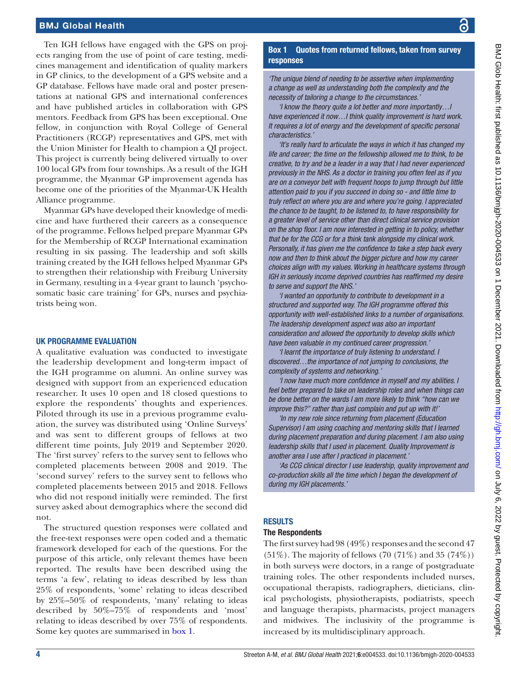Ten IGH fellows have engaged with the GPS on projects ranging from the use of point of care testing, medicines management and identification of quality markers in GP clinics, to the development of a GPS website and a GP database. Fellows have made oral and poster presentations at national GPS and international conferences and have published articles in collaboration with GPS mentors. Feedback from GPS has been exceptional. One fellow*,* in conjunction with Royal College of General Practitioners (RCGP) representatives and GPS, met with the Union Minister for Health to champion a QI project. This project is currently being delivered virtually to over 100 local GPs from four townships. As a result of the IGH programme, the Myanmar GP improvement agenda has become one of the priorities of the Myanmar-UK Health Alliance programme.

Myanmar GPs have developed their knowledge of medicine and have furthered their careers as a consequence of the programme. Fellows helped prepare Myanmar GPs for the Membership of RCGP International examination resulting in six passing. The leadership and soft skills training created by the IGH fellows helped Myanmar GPs to strengthen their relationship with Freiburg University in Germany, resulting in a 4-year grant to launch 'psychosomatic basic care training' for GPs, nurses and psychiatrists being won.

### UK PROGRAMME EVALUATION

A qualitative evaluation was conducted to investigate the leadership development and long-term impact of the IGH programme on alumni. An online survey was designed with support from an experienced education researcher. It uses 10 open and 18 closed questions to explore the respondents' thoughts and experiences. Piloted through its use in a previous programme evaluation, the survey was distributed using 'Online Surveys' and was sent to different groups of fellows at two different time points, July 2019 and September 2020. The 'first survey' refers to the survey sent to fellows who completed placements between 2008 and 2019. The 'second survey' refers to the survey sent to fellows who completed placements between 2015 and 2018. Fellows who did not respond initially were reminded. The first survey asked about demographics where the second did not.

The structured question responses were collated and the free-text responses were open coded and a thematic framework developed for each of the questions. For the purpose of this article, only relevant themes have been reported. The results have been described using the terms 'a few', relating to ideas described by less than 25% of respondents, 'some' relating to ideas described by 25%–50% of respondents, 'many' relating to ideas described by 50%–75% of respondents and 'most' relating to ideas described by over 75% of respondents. Some key quotes are summarised in [box](#page-3-0) 1.

## Box 1 Quotes from returned fellows, taken from survey responses

<span id="page-3-0"></span>*'The unique blend of needing to be assertive when implementing a change as well as understanding both the complexity and the necessity of tailoring a change to the circumstances.'*

*'I know the theory quite a lot better and more importantly…I have experienced it now…I think quality improvement is hard work. It requires a lot of energy and the development of specific personal characteristics.'*

*'It's really hard to articulate the ways in which it has changed my life and career; the time on the fellowship allowed me to think, to be creative, to try and be a leader in a way that I had never experienced previously in the NHS. As a doctor in training you often feel as if you are on a conveyor belt with frequent hoops to jump through but little attention paid to you if you succeed in doing so - and little time to truly reflect on where you are and where you're going. I appreciated the chance to be taught, to be listened to, to have responsibility for a greater level of service other than direct clinical service provision on the shop floor. I am now interested in getting in to policy, whether that be for the CCG or for a think tank alongside my clinical work. Personally, it has given me the confidence to take a step back every now and then to think about the bigger picture and how my career choices align with my values. Working in healthcare systems through IGH in seriously income deprived countries has reaffirmed my desire to serve and support the NHS.'*

*'I wanted an opportunity to contribute to development in a structured and supported way. The IGH programme offered this opportunity with well-established links to a number of organisations. The leadership development aspect was also an important consideration and allowed the opportunity to develop skills which have been valuable in my continued career progression.'*

*'I learnt the importance of truly listening to understand. I discovered…the importance of not jumping to conclusions, the complexity of systems and networking.'*

*'I now have much more confidence in myself and my abilities. I feel better prepared to take on leadership roles and when things can be done better on the wards I am more likely to think "how can we improve this?" rather than just complain and put up with it!'*

*'In my new role since returning from placement (Education*) *Supervisor) I am using coaching and mentoring skills that I learned during placement preparation and during placement. I am also using leadership skills that I used in placement. Quality Improvement is another area I use after I practiced in placement.'*

*'As CCG clinical director I use leadership, quality improvement and co-production skills all the time which I began the development of during my IGH placements.'*

### RESULTS

### The Respondents

The first survey had 98 (49%) responses and the second 47  $(51\%)$ . The majority of fellows  $(70 (71\%)$  and  $35 (74\%)$ in both surveys were doctors, in a range of postgraduate training roles. The other respondents included nurses, occupational therapists, radiographers, dieticians, clinical psychologists, physiotherapists, podiatrists, speech and language therapists, pharmacists, project managers and midwives. The inclusivity of the programme is increased by its multidisciplinary approach.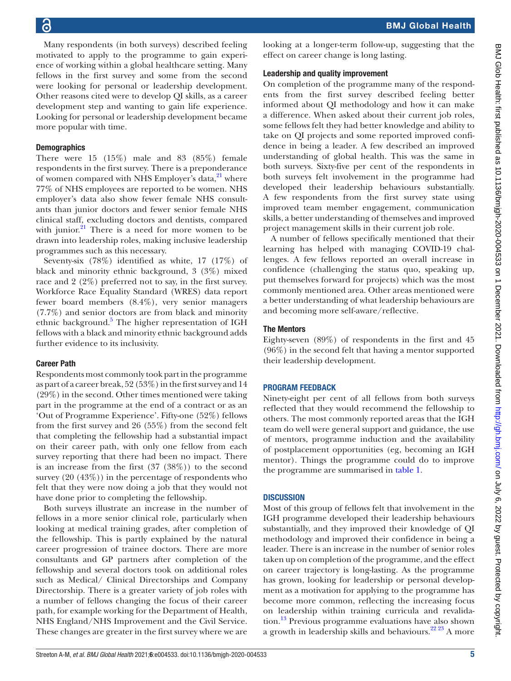Many respondents (in both surveys) described feeling motivated to apply to the programme to gain experience of working within a global healthcare setting. Many fellows in the first survey and some from the second were looking for personal or leadership development. Other reasons cited were to develop QI skills, as a career development step and wanting to gain life experience. Looking for personal or leadership development became more popular with time.

# **Demographics**

There were 15 (15%) male and 83 (85%) female respondents in the first survey. There is a preponderance of women compared with NHS Employer's data, $^{21}$  where 77% of NHS employees are reported to be women. NHS employer's data also show fewer female NHS consultants than junior doctors and fewer senior female NHS clinical staff, excluding doctors and dentists, compared with junior. $^{21}$  $^{21}$  $^{21}$  There is a need for more women to be drawn into leadership roles, making inclusive leadership programmes such as this necessary.

Seventy-six (78%) identified as white, 17 (17%) of black and minority ethnic background, 3 (3%) mixed race and 2 (2%) preferred not to say, in the first survey. Workforce Race Equality Standard (WRES) data report fewer board members (8.4%), very senior managers (7.7%) and senior doctors are from black and minority ethnic background.<sup>[5](#page-6-4)</sup> The higher representation of IGH fellows with a black and minority ethnic background adds further evidence to its inclusivity.

# Career Path

Respondents most commonly took part in the programme as part of a career break, 52 (53%) in the first survey and 14 (29%) in the second. Other times mentioned were taking part in the programme at the end of a contract or as an 'Out of Programme Experience'. Fifty-one (52%) fellows from the first survey and 26 (55%) from the second felt that completing the fellowship had a substantial impact on their career path, with only one fellow from each survey reporting that there had been no impact. There is an increase from the first  $(37 \ (38\%)$  to the second survey (20 (43%)) in the percentage of respondents who felt that they were now doing a job that they would not have done prior to completing the fellowship.

Both surveys illustrate an increase in the number of fellows in a more senior clinical role, particularly when looking at medical training grades, after completion of the fellowship. This is partly explained by the natural career progression of trainee doctors. There are more consultants and GP partners after completion of the fellowship and several doctors took on additional roles such as Medical/ Clinical Directorships and Company Directorship. There is a greater variety of job roles with a number of fellows changing the focus of their career path, for example working for the Department of Health, NHS England/NHS Improvement and the Civil Service. These changes are greater in the first survey where we are

looking at a longer-term follow-up, suggesting that the effect on career change is long lasting.

# Leadership and quality improvement

On completion of the programme many of the respondents from the first survey described feeling better informed about QI methodology and how it can make a difference. When asked about their current job roles, some fellows felt they had better knowledge and ability to take on QI projects and some reported improved confidence in being a leader. A few described an improved understanding of global health. This was the same in both surveys. Sixty-five per cent of the respondents in both surveys felt involvement in the programme had developed their leadership behaviours substantially. A few respondents from the first survey state using improved team member engagement, communication skills, a better understanding of themselves and improved project management skills in their current job role.

A number of fellows specifically mentioned that their learning has helped with managing COVID-19 challenges. A few fellows reported an overall increase in confidence (challenging the status quo, speaking up, put themselves forward for projects) which was the most commonly mentioned area. Other areas mentioned were a better understanding of what leadership behaviours are and becoming more self-aware/reflective.

# The Mentors

Eighty-seven (89%) of respondents in the first and 45 (96%) in the second felt that having a mentor supported their leadership development.

# PROGRAM FEEDBACK

Ninety-eight per cent of all fellows from both surveys reflected that they would recommend the fellowship to others. The most commonly reported areas that the IGH team do well were general support and guidance, the use of mentors, programme induction and the availability of postplacement opportunities (eg, becoming an IGH mentor). Things the programme could do to improve the programme are summarised in [table](#page-5-0) 1.

# **DISCUSSION**

Most of this group of fellows felt that involvement in the IGH programme developed their leadership behaviours substantially, and they improved their knowledge of QI methodology and improved their confidence in being a leader. There is an increase in the number of senior roles taken up on completion of the programme, and the effect on career trajectory is long-lasting. As the programme has grown, looking for leadership or personal development as a motivation for applying to the programme has become more common, reflecting the increasing focus on leadership within training curricula and revalidation.[13](#page-7-4) Previous programme evaluations have also shown a growth in leadership skills and behaviours.<sup>22 23</sup> A more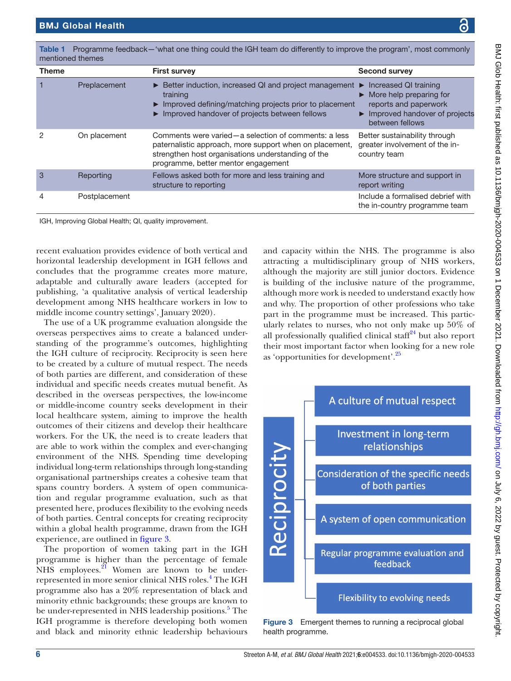| <b>Theme</b> |               | <b>First survey</b>                                                                                                                                                                                            | <b>Second survey</b>                                                                                                                                                      |
|--------------|---------------|----------------------------------------------------------------------------------------------------------------------------------------------------------------------------------------------------------------|---------------------------------------------------------------------------------------------------------------------------------------------------------------------------|
|              | Preplacement  | Example Better induction, increased QI and project management<br>training<br>Improved defining/matching projects prior to placement<br>Improved handover of projects between fellows                           | Increased QI training<br>▶<br>$\triangleright$ More help preparing for<br>reports and paperwork<br>$\blacktriangleright$ Improved handover of projects<br>between fellows |
| 2            | On placement  | Comments were varied – a selection of comments: a less<br>paternalistic approach, more support when on placement,<br>strengthen host organisations understanding of the<br>programme, better mentor engagement | Better sustainability through<br>greater involvement of the in-<br>country team                                                                                           |
| 3            | Reporting     | Fellows asked both for more and less training and<br>structure to reporting                                                                                                                                    | More structure and support in<br>report writing                                                                                                                           |
| 4            | Postplacement |                                                                                                                                                                                                                | Include a formalised debrief with<br>the in-country programme team                                                                                                        |

<span id="page-5-0"></span>Table 1 Programme feedback—'what one thing could the IGH team do differently to improve the program', most commonly

recent evaluation provides evidence of both vertical and horizontal leadership development in IGH fellows and concludes that the programme creates more mature, adaptable and culturally aware leaders (accepted for publishing, 'a qualitative analysis of vertical leadership development among NHS healthcare workers in low to middle income country settings', January 2020).

The use of a UK programme evaluation alongside the overseas perspectives aims to create a balanced understanding of the programme's outcomes, highlighting the IGH culture of reciprocity. Reciprocity is seen here to be created by a culture of mutual respect. The needs of both parties are different, and consideration of these individual and specific needs creates mutual benefit. As described in the overseas perspectives, the low-income or middle-income country seeks development in their local healthcare system, aiming to improve the health outcomes of their citizens and develop their healthcare workers. For the UK, the need is to create leaders that are able to work within the complex and ever-changing environment of the NHS. Spending time developing individual long-term relationships through long-standing organisational partnerships creates a cohesive team that spans country borders. A system of open communication and regular programme evaluation, such as that presented here, produces flexibility to the evolving needs of both parties. Central concepts for creating reciprocity within a global health programme, drawn from the IGH experience, are outlined in [figure](#page-5-1) 3.

The proportion of women taking part in the IGH programme is higher than the percentage of female NHS employees.<sup>21</sup> Women are known to be under-represented in more senior clinical NHS roles.<sup>[4](#page-6-3)</sup> The IGH programme also has a 20% representation of black and minority ethnic backgrounds; these groups are known to be under-represented in NHS leadership positions.<sup>[5](#page-6-4)</sup> The IGH programme is therefore developing both women and black and minority ethnic leadership behaviours

and capacity within the NHS. The programme is also attracting a multidisciplinary group of NHS workers, although the majority are still junior doctors. Evidence is building of the inclusive nature of the programme, although more work is needed to understand exactly how and why. The proportion of other professions who take part in the programme must be increased. This particularly relates to nurses, who not only make up 50% of all professionally qualified clinical staff $24$  but also report their most important factor when looking for a new role as 'opportunities for development'.[25](#page-7-14)



<span id="page-5-1"></span>Figure 3 Emergent themes to running a reciprocal global health programme.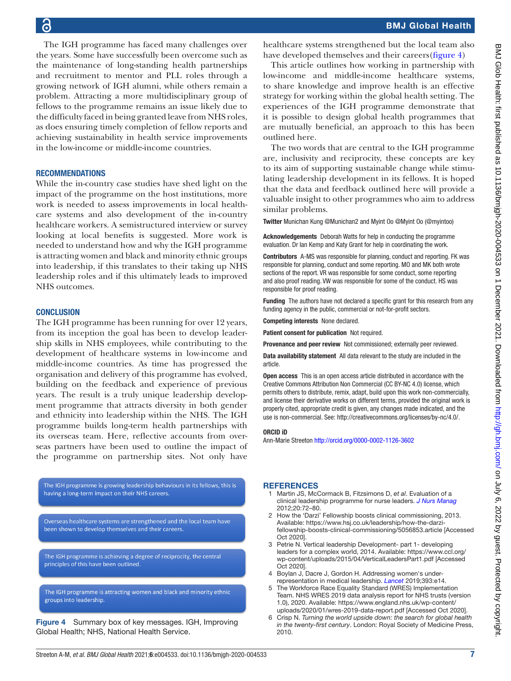The IGH programme has faced many challenges over the years. Some have successfully been overcome such as the maintenance of long-standing health partnerships and recruitment to mentor and PLL roles through a growing network of IGH alumni, while others remain a problem. Attracting a more multidisciplinary group of fellows to the programme remains an issue likely due to the difficulty faced in being granted leave from NHS roles, as does ensuring timely completion of fellow reports and achieving sustainability in health service improvements in the low-income or middle-income countries.

### RECOMMENDATIONS

While the in-country case studies have shed light on the impact of the programme on the host institutions, more work is needed to assess improvements in local healthcare systems and also development of the in-country healthcare workers. A semistructured interview or survey looking at local benefits is suggested. More work is needed to understand how and why the IGH programme is attracting women and black and minority ethnic groups into leadership, if this translates to their taking up NHS leadership roles and if this ultimately leads to improved NHS outcomes.

### **CONCLUSION**

The IGH programme has been running for over 12 years, from its inception the goal has been to develop leadership skills in NHS employees, while contributing to the development of healthcare systems in low-income and middle-income countries. As time has progressed the organisation and delivery of this programme has evolved, building on the feedback and experience of previous years. The result is a truly unique leadership development programme that attracts diversity in both gender and ethnicity into leadership within the NHS. The IGH programme builds long-term health partnerships with its overseas team. Here, reflective accounts from overseas partners have been used to outline the impact of the programme on partnership sites. Not only have

The IGH programme is growing leadership behaviours in its fellows, this is having a long-term impact on their NHS careers.

Overseas healthcare systems are strengthened and the local team have been shown to develop themselves and their careers.

The IGH programme is achieving a degree of reciprocity, the central principles of this have been outlined.

The IGH programme is attracting women and black and minority ethnic groups into leadership.

<span id="page-6-6"></span>Figure 4 Summary box of key messages. IGH, Improving Global Health; NHS, National Health Service.

healthcare systems strengthened but the local team also have developed themselves and their careers([figure](#page-6-6) 4)

This article outlines how working in partnership with low-income and middle-income healthcare systems, to share knowledge and improve health is an effective strategy for working within the global health setting. The experiences of the IGH programme demonstrate that it is possible to design global health programmes that are mutually beneficial, an approach to this has been outlined here.

The two words that are central to the IGH programme are, inclusivity and reciprocity, these concepts are key to its aim of supporting sustainable change while stimulating leadership development in its fellows. It is hoped that the data and feedback outlined here will provide a valuable insight to other programmes who aim to address similar problems.

Twitter Munichan Kung [@Munichan2](https://twitter.com/Munichan2) and Myint Oo [@Myint Oo \(@myintoo\)](https://twitter.com/Myint Oo (@myintoo))

Acknowledgements Deborah Watts for help in conducting the programme evaluation. Dr Ian Kemp and Katy Grant for help in coordinating the work.

Contributors A-MS was responsible for planning, conduct and reporting. FK was responsible for planning, conduct and some reporting. MO and MK both wrote sections of the report. VR was responsible for some conduct, some reporting and also proof reading. VW was responsible for some of the conduct. HS was responsible for proof reading.

Funding The authors have not declared a specific grant for this research from any funding agency in the public, commercial or not-for-profit sectors.

Competing interests None declared.

Patient consent for publication Not required.

Provenance and peer review Not commissioned; externally peer reviewed.

Data availability statement All data relevant to the study are included in the article.

Open access This is an open access article distributed in accordance with the Creative Commons Attribution Non Commercial (CC BY-NC 4.0) license, which permits others to distribute, remix, adapt, build upon this work non-commercially, and license their derivative works on different terms, provided the original work is properly cited, appropriate credit is given, any changes made indicated, and the use is non-commercial. See:<http://creativecommons.org/licenses/by-nc/4.0/>.

### ORCID iD

Ann-Marie Streeton <http://orcid.org/0000-0002-1126-3602>

### **REFERENCES**

- <span id="page-6-0"></span>1 Martin JS, McCormack B, Fitzsimons D, *et al*. Evaluation of a clinical leadership programme for nurse leaders. *[J Nurs Manag](http://dx.doi.org/10.1111/j.1365-2834.2011.01271.x)* 2012;20:72–80.
- <span id="page-6-1"></span>2 How the 'Darzi' Fellowship boosts clinical commissioning, 2013. Available: [https://www.hsj.co.uk/leadership/how-the-darzi](https://www.hsj.co.uk/leadership/how-the-darzi-fellowship-boosts-clinical-commissioning/5056853.article)[fellowship-boosts-clinical-commissioning/5056853.article](https://www.hsj.co.uk/leadership/how-the-darzi-fellowship-boosts-clinical-commissioning/5056853.article) [Accessed Oct 2020].
- <span id="page-6-2"></span>3 Petrie N. Vertical leadership Development- part 1- developing leaders for a complex world, 2014. Available: [https://www.ccl.org/](https://www.ccl.org/wp-content/uploads/2015/04/VerticalLeadersPart1.pdf) [wp-content/uploads/2015/04/VerticalLeadersPart1.pdf](https://www.ccl.org/wp-content/uploads/2015/04/VerticalLeadersPart1.pdf) [Accessed Oct 2020].
- <span id="page-6-3"></span>4 Boylan J, Dacre J, Gordon H. Addressing women's underrepresentation in medical leadership. *[Lancet](http://dx.doi.org/10.1016/S0140-6736(18)32110-X)* 2019;393:e14.
- <span id="page-6-4"></span>5 The Workforce Race Equality Standard (WRES) Implementation Team. NHS WRES 2019 data analysis report for NHS trusts (version 1.0), 2020. Available: [https://www.england.nhs.uk/wp-content/](https://www.england.nhs.uk/wp-content/uploads/2020/01/wres-2019-data-report.pdf) [uploads/2020/01/wres-2019-data-report.pdf](https://www.england.nhs.uk/wp-content/uploads/2020/01/wres-2019-data-report.pdf) [Accessed Oct 2020].
- <span id="page-6-5"></span>6 Crisp N. *Turning the world upside down: the search for global health in the twenty-first century*. London: Royal Society of Medicine Press, 2010.